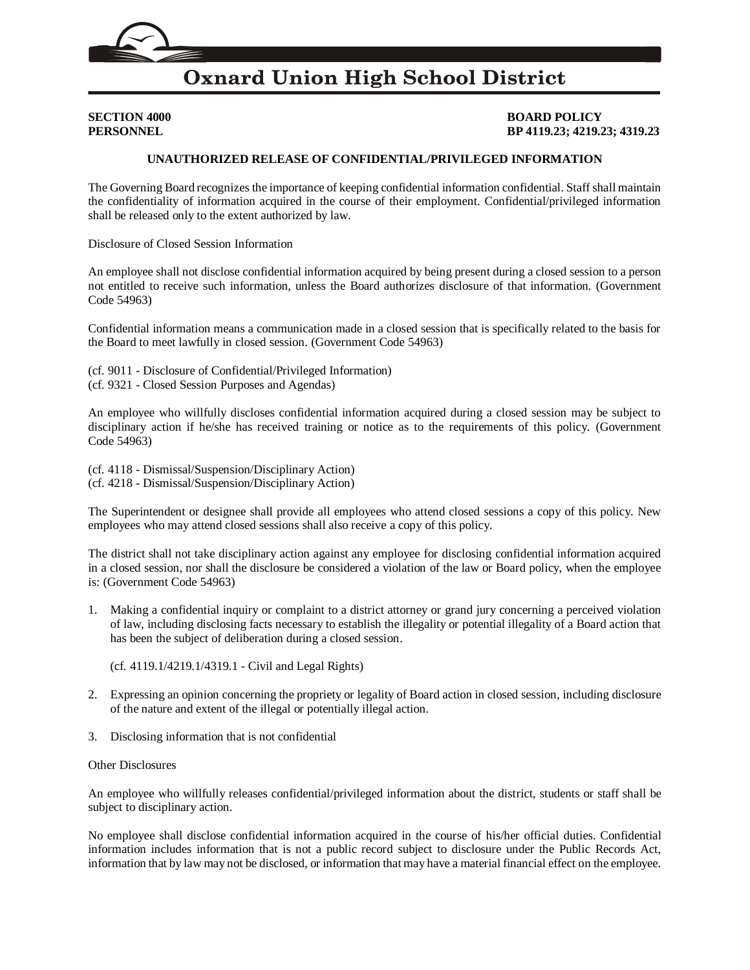

# **Oxnard Union High School District**

**SECTION 4000 BOARD POLICY PERSONNEL BP 4119.23; 4219.23; 4319.23**

## **UNAUTHORIZED RELEASE OF CONFIDENTIAL/PRIVILEGED INFORMATION**

The Governing Board recognizes the importance of keeping confidential information confidential. Staff shall maintain the confidentiality of information acquired in the course of their employment. Confidential/privileged information shall be released only to the extent authorized by law.

Disclosure of Closed Session Information

An employee shall not disclose confidential information acquired by being present during a closed session to a person not entitled to receive such information, unless the Board authorizes disclosure of that information. (Government Code [54963\)](http://gamutonline.net/displayPolicy/288575/4)

Confidential information means a communication made in a closed session that is specifically related to the basis for the Board to meet lawfully in closed session. (Government Code [54963\)](http://gamutonline.net/displayPolicy/288575/4)

(cf. [9011](http://gamutonline.net/displayPolicy/288786/4) - Disclosure of Confidential/Privileged Information) (cf. [9321](http://gamutonline.net/displayPolicy/352674/4) - Closed Session Purposes and Agendas)

An employee who willfully discloses confidential information acquired during a closed session may be subject to disciplinary action if he/she has received training or notice as to the requirements of this policy. (Government Code [54963\)](http://gamutonline.net/displayPolicy/288575/4)

(cf. [4118](http://gamutonline.net/displayPolicy/931143/4) - Dismissal/Suspension/Disciplinary Action) (cf. [4218](http://gamutonline.net/displayPolicy/170827/4) - Dismissal/Suspension/Disciplinary Action)

The Superintendent or designee shall provide all employees who attend closed sessions a copy of this policy. New employees who may attend closed sessions shall also receive a copy of this policy.

The district shall not take disciplinary action against any employee for disclosing confidential information acquired in a closed session, nor shall the disclosure be considered a violation of the law or Board policy, when the employee is: (Government Code [54963\)](http://gamutonline.net/displayPolicy/288575/4)

1. Making a confidential inquiry or complaint to a district attorney or grand jury concerning a perceived violation of law, including disclosing facts necessary to establish the illegality or potential illegality of a Board action that has been the subject of deliberation during a closed session.

(cf. [4119.1](http://gamutonline.net/displayPolicy/324899/4)[/4219.1](http://gamutonline.net/displayPolicy/324962/4)[/4319.1](http://gamutonline.net/displayPolicy/324963/4) - Civil and Legal Rights)

- 2. Expressing an opinion concerning the propriety or legality of Board action in closed session, including disclosure of the nature and extent of the illegal or potentially illegal action.
- 3. Disclosing information that is not confidential

### Other Disclosures

An employee who willfully releases confidential/privileged information about the district, students or staff shall be subject to disciplinary action.

No employee shall disclose confidential information acquired in the course of his/her official duties. Confidential information includes information that is not a public record subject to disclosure under the Public Records Act, information that by law may not be disclosed, or information that may have a material financial effect on the employee.